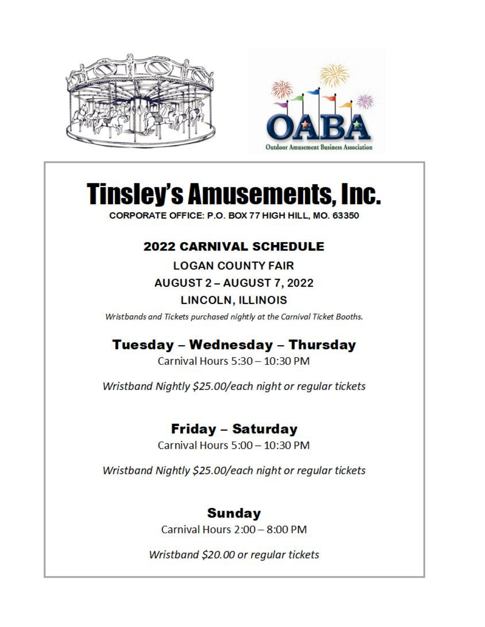



CORPORATE OFFICE: P.O. BOX 77 HIGH HILL, MO. 63350

#### **2022 CARNIVAL SCHEDULE**

**LOGAN COUNTY FAIR** 

**AUGUST 2 - AUGUST 7, 2022** 

#### LINCOLN, ILLINOIS

Wristbands and Tickets purchased nightly at the Carnival Ticket Booths.

## Tuesday - Wednesday - Thursday

Carnival Hours 5:30 - 10:30 PM

Wristband Nightly \$25.00/each night or regular tickets

## Friday - Saturday

Carnival Hours 5:00 - 10:30 PM

Wristband Nightly \$25.00/each night or regular tickets

#### **Sunday**

Carnival Hours  $2:00 - 8:00$  PM

Wristband \$20.00 or regular tickets